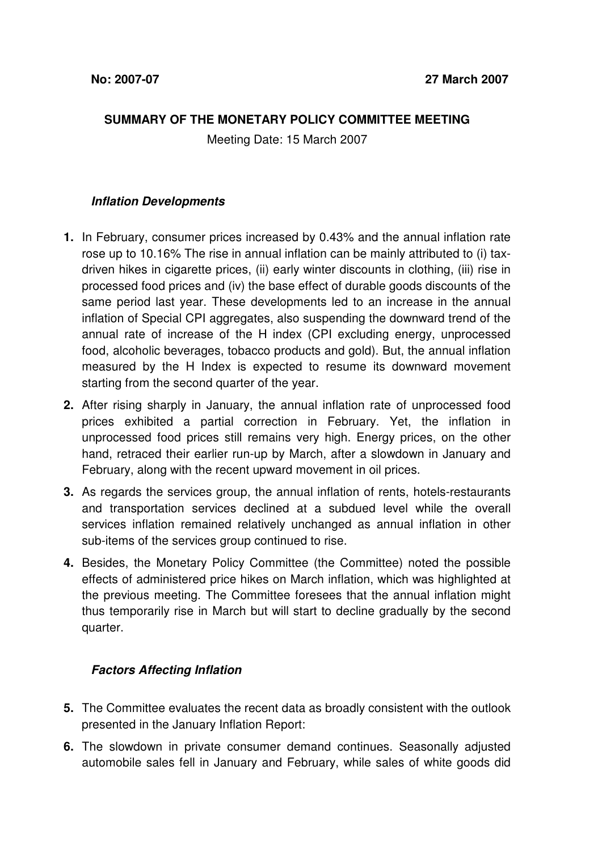## **SUMMARY OF THE MONETARY POLICY COMMITTEE MEETING**

Meeting Date: 15 March 2007

## **Inflation Developments**

- **1.** In February, consumer prices increased by 0.43% and the annual inflation rate rose up to 10.16% The rise in annual inflation can be mainly attributed to (i) taxdriven hikes in cigarette prices, (ii) early winter discounts in clothing, (iii) rise in processed food prices and (iv) the base effect of durable goods discounts of the same period last year. These developments led to an increase in the annual inflation of Special CPI aggregates, also suspending the downward trend of the annual rate of increase of the H index (CPI excluding energy, unprocessed food, alcoholic beverages, tobacco products and gold). But, the annual inflation measured by the H Index is expected to resume its downward movement starting from the second quarter of the year.
- **2.** After rising sharply in January, the annual inflation rate of unprocessed food prices exhibited a partial correction in February. Yet, the inflation in unprocessed food prices still remains very high. Energy prices, on the other hand, retraced their earlier run-up by March, after a slowdown in January and February, along with the recent upward movement in oil prices.
- **3.** As regards the services group, the annual inflation of rents, hotels-restaurants and transportation services declined at a subdued level while the overall services inflation remained relatively unchanged as annual inflation in other sub-items of the services group continued to rise.
- **4.** Besides, the Monetary Policy Committee (the Committee) noted the possible effects of administered price hikes on March inflation, which was highlighted at the previous meeting. The Committee foresees that the annual inflation might thus temporarily rise in March but will start to decline gradually by the second quarter.

## **Factors Affecting Inflation**

- **5.** The Committee evaluates the recent data as broadly consistent with the outlook presented in the January Inflation Report:
- **6.** The slowdown in private consumer demand continues. Seasonally adjusted automobile sales fell in January and February, while sales of white goods did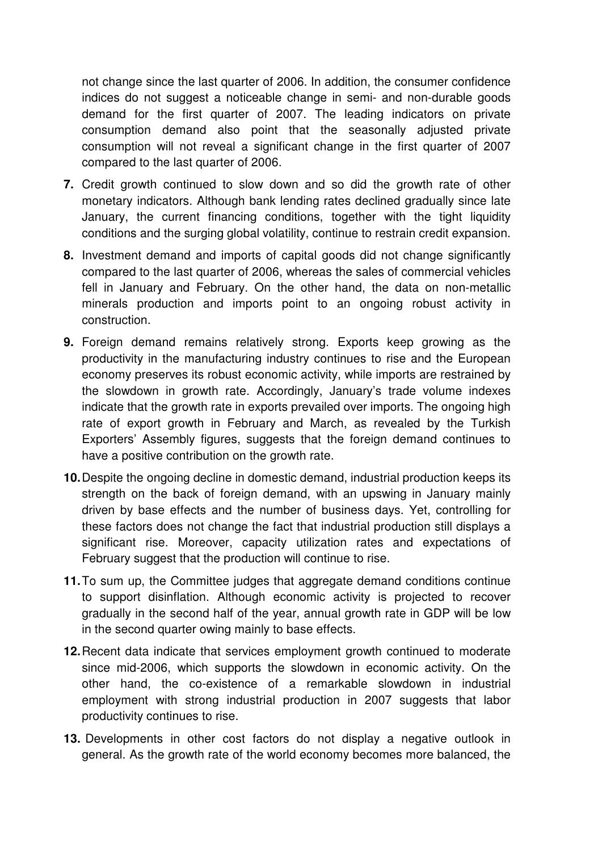not change since the last quarter of 2006. In addition, the consumer confidence indices do not suggest a noticeable change in semi- and non-durable goods demand for the first quarter of 2007. The leading indicators on private consumption demand also point that the seasonally adjusted private consumption will not reveal a significant change in the first quarter of 2007 compared to the last quarter of 2006.

- **7.** Credit growth continued to slow down and so did the growth rate of other monetary indicators. Although bank lending rates declined gradually since late January, the current financing conditions, together with the tight liquidity conditions and the surging global volatility, continue to restrain credit expansion.
- **8.** Investment demand and imports of capital goods did not change significantly compared to the last quarter of 2006, whereas the sales of commercial vehicles fell in January and February. On the other hand, the data on non-metallic minerals production and imports point to an ongoing robust activity in construction.
- **9.** Foreign demand remains relatively strong. Exports keep growing as the productivity in the manufacturing industry continues to rise and the European economy preserves its robust economic activity, while imports are restrained by the slowdown in growth rate. Accordingly, January's trade volume indexes indicate that the growth rate in exports prevailed over imports. The ongoing high rate of export growth in February and March, as revealed by the Turkish Exporters' Assembly figures, suggests that the foreign demand continues to have a positive contribution on the growth rate.
- **10.** Despite the ongoing decline in domestic demand, industrial production keeps its strength on the back of foreign demand, with an upswing in January mainly driven by base effects and the number of business days. Yet, controlling for these factors does not change the fact that industrial production still displays a significant rise. Moreover, capacity utilization rates and expectations of February suggest that the production will continue to rise.
- **11.** To sum up, the Committee judges that aggregate demand conditions continue to support disinflation. Although economic activity is projected to recover gradually in the second half of the year, annual growth rate in GDP will be low in the second quarter owing mainly to base effects.
- **12.** Recent data indicate that services employment growth continued to moderate since mid-2006, which supports the slowdown in economic activity. On the other hand, the co-existence of a remarkable slowdown in industrial employment with strong industrial production in 2007 suggests that labor productivity continues to rise.
- **13.** Developments in other cost factors do not display a negative outlook in general. As the growth rate of the world economy becomes more balanced, the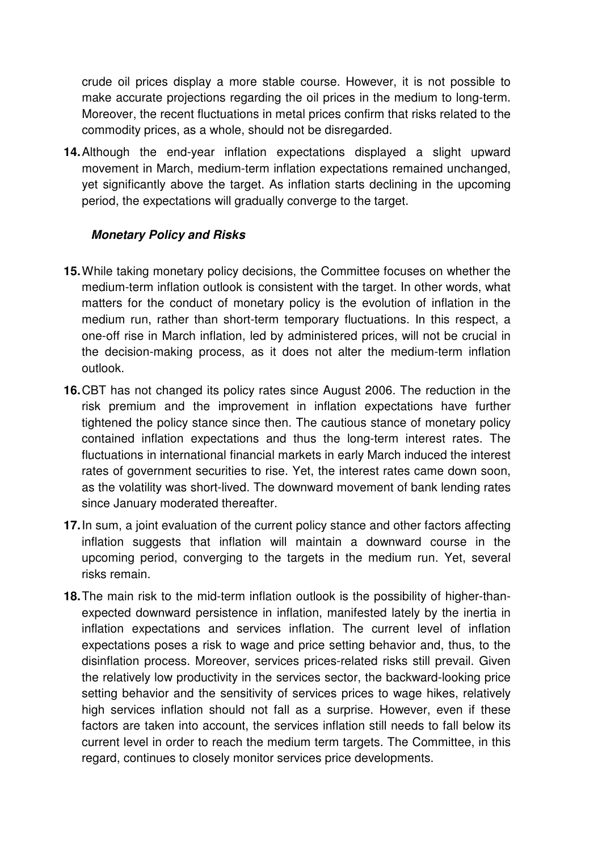crude oil prices display a more stable course. However, it is not possible to make accurate projections regarding the oil prices in the medium to long-term. Moreover, the recent fluctuations in metal prices confirm that risks related to the commodity prices, as a whole, should not be disregarded.

**14.** Although the end-year inflation expectations displayed a slight upward movement in March, medium-term inflation expectations remained unchanged, yet significantly above the target. As inflation starts declining in the upcoming period, the expectations will gradually converge to the target.

## **Monetary Policy and Risks**

- **15.** While taking monetary policy decisions, the Committee focuses on whether the medium-term inflation outlook is consistent with the target. In other words, what matters for the conduct of monetary policy is the evolution of inflation in the medium run, rather than short-term temporary fluctuations. In this respect, a one-off rise in March inflation, led by administered prices, will not be crucial in the decision-making process, as it does not alter the medium-term inflation outlook.
- **16.** CBT has not changed its policy rates since August 2006. The reduction in the risk premium and the improvement in inflation expectations have further tightened the policy stance since then. The cautious stance of monetary policy contained inflation expectations and thus the long-term interest rates. The fluctuations in international financial markets in early March induced the interest rates of government securities to rise. Yet, the interest rates came down soon, as the volatility was short-lived. The downward movement of bank lending rates since January moderated thereafter.
- **17.** In sum, a joint evaluation of the current policy stance and other factors affecting inflation suggests that inflation will maintain a downward course in the upcoming period, converging to the targets in the medium run. Yet, several risks remain.
- **18.** The main risk to the mid-term inflation outlook is the possibility of higher-thanexpected downward persistence in inflation, manifested lately by the inertia in inflation expectations and services inflation. The current level of inflation expectations poses a risk to wage and price setting behavior and, thus, to the disinflation process. Moreover, services prices-related risks still prevail. Given the relatively low productivity in the services sector, the backward-looking price setting behavior and the sensitivity of services prices to wage hikes, relatively high services inflation should not fall as a surprise. However, even if these factors are taken into account, the services inflation still needs to fall below its current level in order to reach the medium term targets. The Committee, in this regard, continues to closely monitor services price developments.